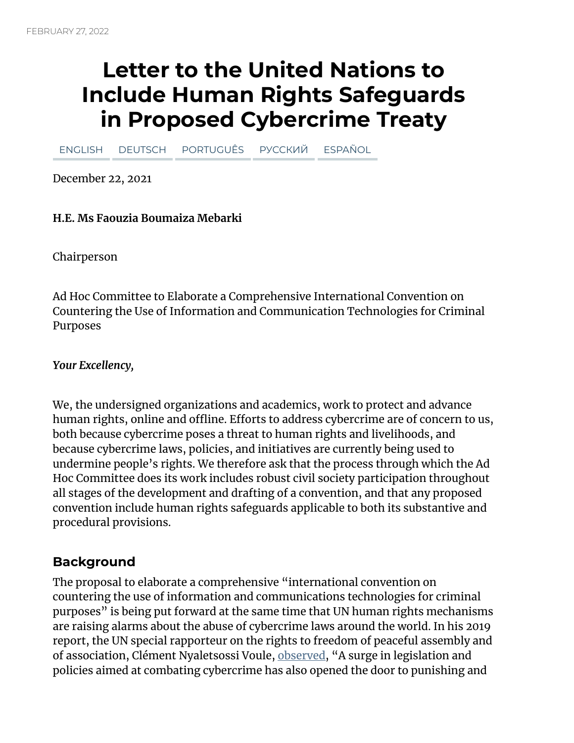# **Letter to the United Nations to Include Human Rights Safeguards in Proposed Cybercrime Treaty**

[ENGLISH](https://www.eff.org/deeplinks/2022/02/letter-united-nations-include-human-rights-safeguards-proposed-cybercrime-treaty) [DEUTSCH](https://www.eff.org/de/deeplinks/2022/02/letter-united-nations-include-human-rights-safeguards-proposed-cybercrime-treaty) [PORTUGUÊS](https://www.eff.org/pt-br/deeplinks/2022/02/letter-united-nations-include-human-rights-safeguards-proposed-cybercrime-treaty) [РУССКИЙ](https://www.eff.org/ru/deeplinks/2022/02/letter-united-nations-include-human-rights-safeguards-proposed-cybercrime-treaty) [ESPAÑOL](https://www.eff.org/es/deeplinks/2022/02/letter-united-nations-include-human-rights-safeguards-proposed-cybercrime-treaty)

December 22, 2021

#### **H.E. Ms Faouzia Boumaiza Mebarki**

Chairperson

Ad Hoc Committee to Elaborate a Comprehensive International Convention on Countering the Use of Information and Communication Technologies for Criminal Purposes

*Your Excellency,*

We, the undersigned organizations and academics, work to protect and advance human rights, online and offline. Efforts to address cybercrime are of concern to us, both because cybercrime poses a threat to human rights and livelihoods, and because cybercrime laws, policies, and initiatives are currently being used to undermine people's rights. We therefore ask that the process through which the Ad Hoc Committee does its work includes robust civil society participation throughout all stages of the development and drafting of a convention, and that any proposed convention include human rights safeguards applicable to both its substantive and procedural provisions.

#### **Background**

The proposal to elaborate a comprehensive "international convention on countering the use of information and communications technologies for criminal purposes" is being put forward at the same time that UN human rights mechanisms are raising alarms about the abuse of cybercrime laws around the world. In his 2019 report, the UN special rapporteur on the rights to freedom of peaceful assembly and of association, Clément Nyaletsossi Voule, [observed](https://ap.ohchr.org/documents/dpage_e.aspx?si=A/HRC/41/41), "A surge in legislation and policies aimed at combating cybercrime has also opened the door to punishing and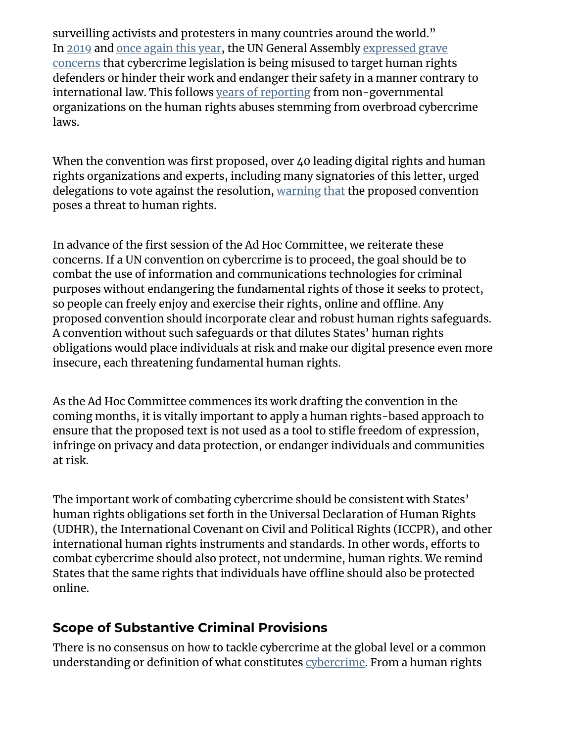surveilling activists and protesters in many countries around the world." In [2019](https://undocs.org/en/A/RES/74/146) and once [again](https://undocs.org/A/C.3/76/L.51/Rev.1) this year, the UN General Assembly expressed grave concerns that [cybercrime](https://undocs.org/en/A/RES/74/146) legislation is being misused to target human rights defenders or hinder their work and endanger their safety in a manner contrary to international law. This follows years of [reporting](https://www.hrw.org/news/2021/05/05/abuse-cybercrime-measures-taints-un-talks) from non-governmental organizations on the human rights abuses stemming from overbroad cybercrime laws.

When the convention was first proposed, over 40 leading digital rights and human rights organizations and experts, including many signatories of this letter, urged delegations to vote against the resolution, [warning](https://www.apc.org/en/pubs/open-letter-un-general-assembly-proposed-international-convention-cybercrime-poses-threat-human) that the proposed convention poses a threat to human rights.

In advance of the first session of the Ad Hoc Committee, we reiterate these concerns. If a UN convention on cybercrime is to proceed, the goal should be to combat the use of information and communications technologies for criminal purposes without endangering the fundamental rights of those it seeks to protect, so people can freely enjoy and exercise their rights, online and offline. Any proposed convention should incorporate clear and robust human rights safeguards. A convention without such safeguards or that dilutes States' human rights obligations would place individuals at risk and make our digital presence even more insecure, each threatening fundamental human rights.

As the Ad Hoc Committee commences its work drafting the convention in the coming months, it is vitally important to apply a human rights-based approach to ensure that the proposed text is not used as a tool to stifle freedom of expression, infringe on privacy and data protection, or endanger individuals and communities at risk.

The important work of combating cybercrime should be consistent with States' human rights obligations set forth in the Universal Declaration of Human Rights (UDHR), the International Covenant on Civil and Political Rights (ICCPR), and other international human rights instruments and standards. In other words, efforts to combat cybercrime should also protect, not undermine, human rights. We remind States that the same rights that individuals have offline should also be protected online.

### **Scope of Substantive Criminal Provisions**

There is no consensus on how to tackle cybercrime at the global level or a common understanding or definition of what constitutes [cybercrime](https://www.unodc.org/documents/organized-crime/UNODC_CCPCJ_EG.4_2013/CYBERCRIME_STUDY_210213.pdf). From a human rights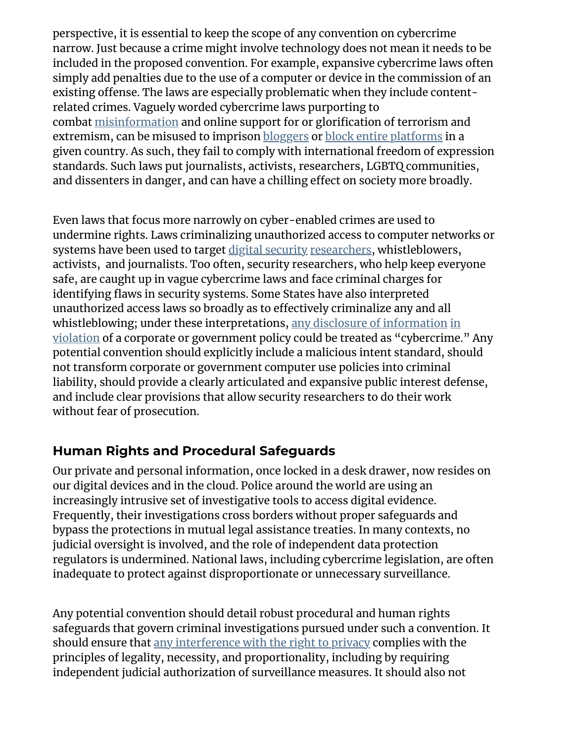perspective, it is essential to keep the scope of any convention on cybercrime narrow. Just because a crime might involve technology does not mean it needs to be included in the proposed convention. For example, expansive cybercrime laws often simply add penalties due to the use of a computer or device in the commission of an existing offense. The laws are especially problematic when they include contentrelated crimes. Vaguely worded cybercrime laws purporting to combat [misinformation](https://www.article19.org/resources/thailand-fake-news-undermine-freedom-of-expression/) and online support for or glorification of terrorism and extremism, can be misused to imprison **[bloggers](https://www.article19.org/resources/egypt-end-harassment-of-rights-defender/)** or **block** entire [platforms](https://www.accessnow.org/egyptian-parliament-approves-cybercrime-law-legalizing-blocking-of-websites-and-full-surveillance-of-egyptians/) in a given country. As such, they fail to comply with international freedom of expression standards. Such laws put journalists, activists, researchers, LGBTQ communities, and dissenters in danger, and can have a chilling effect on society more broadly.

Even laws that focus more narrowly on cyber-enabled crimes are used to undermine rights. Laws criminalizing unauthorized access to computer networks or systems have been used to target digital [security](https://www.eff.org/deeplinks/2021/06/eff-ecuadors-human-rights-secretariat-protecting-security-experts-vital-safeguard) [researchers,](https://www.eff.org/deeplinks/2019/11/raid-javier-smaldone-argentinian-authorities-have-restarted-their-harassment-e) whistleblowers, activists, and journalists. Too often, security researchers, who help keep everyone safe, are caught up in vague cybercrime laws and face criminal charges for identifying flaws in security systems. Some States have also interpreted unauthorized access laws so broadly as to effectively criminalize any and all [whistleblowing;](https://www.eff.org/document/us-v-chelsea-manning-eff-amicus-brief) under these interpretations, any disclosure of [information](https://nationalpost.com/news/canada/u-s-whistleblower-chelsea-manning-challenging-secrecy-laws-barring-her-from-canada) in violation of a corporate or government policy could be treated as "cybercrime." Any potential convention should explicitly include a malicious intent standard, should not transform corporate or government computer use policies into criminal liability, should provide a clearly articulated and expansive public interest defense, and include clear provisions that allow security researchers to do their work without fear of prosecution.

### **Human Rights and Procedural Safeguards**

Our private and personal information, once locked in a desk drawer, now resides on our digital devices and in the cloud. Police around the world are using an increasingly intrusive set of investigative tools to access digital evidence. Frequently, their investigations cross borders without proper safeguards and bypass the protections in mutual legal assistance treaties. In many contexts, no judicial oversight is involved, and the role of independent data protection regulators is undermined. National laws, including cybercrime legislation, are often inadequate to protect against disproportionate or unnecessary surveillance.

Any potential convention should detail robust procedural and human rights safeguards that govern criminal investigations pursued under such a convention. It should ensure that any [interference](https://necessaryandproportionate.org/principles/) with the right to privacy complies with the principles of legality, necessity, and proportionality, including by requiring independent judicial authorization of surveillance measures. It should also not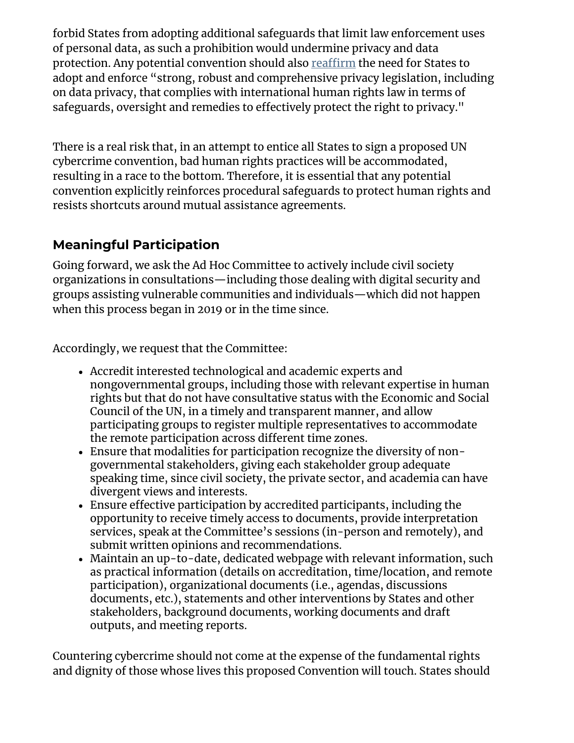forbid States from adopting additional safeguards that limit law enforcement uses of personal data, as such a prohibition would undermine privacy and data protection. Any potential convention should also [reaffirm](https://www.ohchr.org/Documents/Issues/DigitalAge/ReportPrivacyinDigitalAge/A_HRC_39_29_EN.pdf) the need for States to adopt and enforce "strong, robust and comprehensive privacy legislation, including on data privacy, that complies with international human rights law in terms of safeguards, oversight and remedies to effectively protect the right to privacy."

There is a real risk that, in an attempt to entice all States to sign a proposed UN cybercrime convention, bad human rights practices will be accommodated, resulting in a race to the bottom. Therefore, it is essential that any potential convention explicitly reinforces procedural safeguards to protect human rights and resists shortcuts around mutual assistance agreements.

## **Meaningful Participation**

Going forward, we ask the Ad Hoc Committee to actively include civil society organizations in consultations—including those dealing with digital security and groups assisting vulnerable communities and individuals—which did not happen when this process began in 2019 or in the time since.

Accordingly, we request that the Committee:

- Accredit interested technological and academic experts and nongovernmental groups, including those with relevant expertise in human rights but that do not have consultative status with the Economic and Social Council of the UN, in a timely and transparent manner, and allow participating groups to register multiple representatives to accommodate the remote participation across different time zones.
- Ensure that modalities for participation recognize the diversity of nongovernmental stakeholders, giving each stakeholder group adequate speaking time, since civil society, the private sector, and academia can have divergent views and interests.
- Ensure effective participation by accredited participants, including the opportunity to receive timely access to documents, provide interpretation services, speak at the Committee's sessions (in-person and remotely), and submit written opinions and recommendations.
- Maintain an up-to-date, dedicated webpage with relevant information, such as practical information (details on accreditation, time/location, and remote participation), organizational documents (i.e., agendas, discussions documents, etc.), statements and other interventions by States and other stakeholders, background documents, working documents and draft outputs, and meeting reports.

Countering cybercrime should not come at the expense of the fundamental rights and dignity of those whose lives this proposed Convention will touch. States should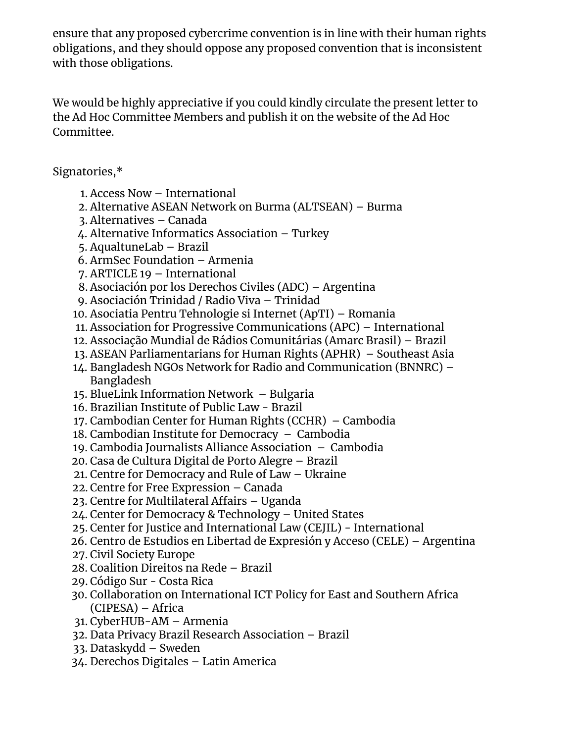ensure that any proposed cybercrime convention is in line with their human rights obligations, and they should oppose any proposed convention that is inconsistent with those obligations.

We would be highly appreciative if you could kindly circulate the present letter to the Ad Hoc Committee Members and publish it on the website of the Ad Hoc Committee.

Signatories,\*

- 1. Access Now International
- 2. Alternative ASEAN Network on Burma (ALTSEAN) Burma
- 3. Alternatives Canada
- 4. Alternative Informatics Association Turkey
- 5. AqualtuneLab Brazil
- 6. ArmSec Foundation Armenia
- 7. ARTICLE 19 International
- 8. Asociación por los Derechos Civiles (ADC) Argentina
- 9. Asociación Trinidad / Radio Viva Trinidad
- 10. Asociatia Pentru Tehnologie si Internet (ApTI) Romania
- 11. Association for Progressive Communications (APC) International
- 12. Associação Mundial de Rádios Comunitárias (Amarc Brasil) Brazil
- 13. ASEAN Parliamentarians for Human Rights (APHR) Southeast Asia
- 14. Bangladesh NGOs Network for Radio and Communication (BNNRC) Bangladesh
- 15. BlueLink Information Network Bulgaria
- 16. Brazilian Institute of Public Law Brazil
- 17. Cambodian Center for Human Rights (CCHR) Cambodia
- 18. Cambodian Institute for Democracy Cambodia
- 19. Cambodia Journalists Alliance Association Cambodia
- 20. Casa de Cultura Digital de Porto Alegre Brazil
- 21. Centre for Democracy and Rule of Law Ukraine
- 22. Centre for Free Expression Canada
- 23. Centre for Multilateral Affairs Uganda
- 24. Center for Democracy & Technology United States
- 25. Center for Justice and International Law (CEJIL) International
- 26. Centro de Estudios en Libertad de Expresión y Acceso (CELE) Argentina
- 27. Civil Society Europe
- 28. Coalition Direitos na Rede Brazil
- 29. Código Sur Costa Rica
- 30. Collaboration on International ICT Policy for East and Southern Africa (CIPESA) – Africa
- 31. CyberHUB-AM Armenia
- 32. Data Privacy Brazil Research Association Brazil
- 33. Dataskydd Sweden
- 34. Derechos Digitales Latin America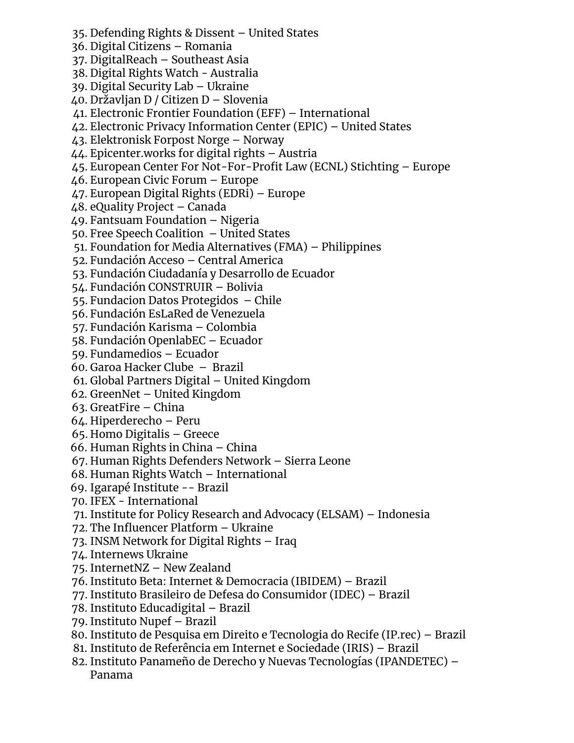- 35. Defending Rights & Dissent United States 36. Digital Citizens – Romania 37. DigitalReach – Southeast Asia 38. Digital Rights Watch - Australia 39. Digital Security Lab – Ukraine 40. Državljan D / Citizen D – Slovenia 41. Electronic Frontier Foundation (EFF) – International 42. Electronic Privacy Information Center (EPIC) – United States 43. Elektronisk Forpost Norge – Norway 44. Epicenter.works for digital rights – Austria 45. European Center For Not-For-Profit Law (ECNL) Stichting – Europe 46. European Civic Forum – Europe 47. European Digital Rights (EDRi) – Europe 48. eQuality Project – Canada 49. Fantsuam Foundation – Nigeria 50. Free Speech Coalition – United States 51. Foundation for Media Alternatives (FMA) – Philippines 52. Fundación Acceso – Central America 53. Fundación Ciudadanía y Desarrollo de Ecuador 54. Fundación CONSTRUIR – Bolivia 55. Fundacion Datos Protegidos – Chile 56. Fundación EsLaRed de Venezuela 57. Fundación Karisma – Colombia 58. Fundación OpenlabEC – Ecuador 59. Fundamedios – Ecuador 60. Garoa Hacker Clube – Brazil 61. Global Partners Digital – United Kingdom 62. GreenNet – United Kingdom 63. GreatFire – China 64. Hiperderecho – Peru 65. Homo Digitalis – Greece 66. Human Rights in China – China 67. Human Rights Defenders Network – Sierra Leone 68. Human Rights Watch – International 69. Igarapé Institute -- Brazil 70. IFEX - International 71. Institute for Policy Research and Advocacy (ELSAM) – Indonesia 72. The Influencer Platform – Ukraine 73. INSM Network for Digital Rights – Iraq 74. Internews Ukraine 75. InternetNZ – New Zealand 76. Instituto Beta: Internet & Democracia (IBIDEM) – Brazil 77. Instituto Brasileiro de Defesa do Consumidor (IDEC) – Brazil 78. Instituto Educadigital – Brazil 79. Instituto Nupef – Brazil 80. Instituto de Pesquisa em Direito e Tecnologia do Recife (IP.rec) – Brazil
	- 81. Instituto de Referência em Internet e Sociedade (IRIS) Brazil
	- 82. Instituto Panameño de Derecho y Nuevas Tecnologías (IPANDETEC) Panama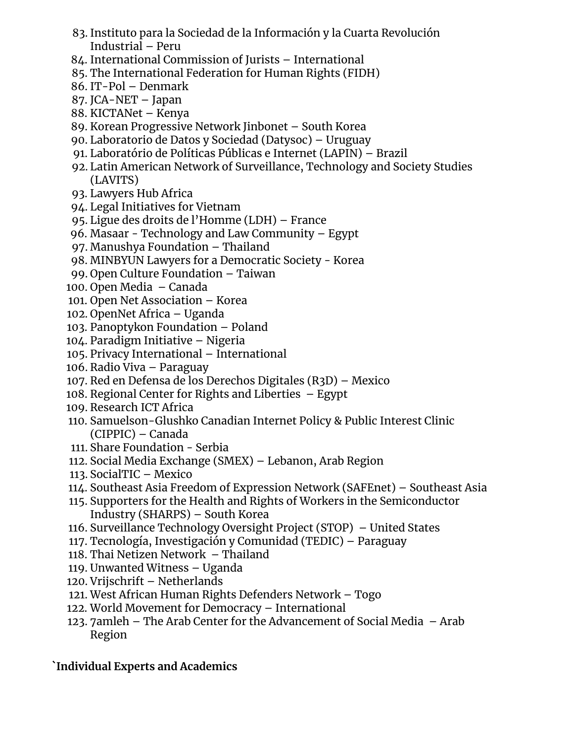- 83. Instituto para la Sociedad de la Información y la Cuarta Revolución Industrial – Peru
- 84. International Commission of Jurists International
- 85. The International Federation for Human Rights (FIDH)
- 86. IT-Pol Denmark
- 87. JCA-NET Japan
- 88. KICTANet Kenya
- 89. Korean Progressive Network Jinbonet South Korea
- 90. Laboratorio de Datos y Sociedad (Datysoc) Uruguay
- 91. Laboratório de Políticas Públicas e Internet (LAPIN) Brazil
- 92. Latin American Network of Surveillance, Technology and Society Studies (LAVITS)
- 93. Lawyers Hub Africa
- 94. Legal Initiatives for Vietnam
- 95. Ligue des droits de l'Homme (LDH) France
- 96. Masaar Technology and Law Community Egypt
- 97. Manushya Foundation Thailand
- 98. MINBYUN Lawyers for a Democratic Society Korea
- 99. Open Culture Foundation Taiwan
- 100. Open Media Canada
- 101. Open Net Association Korea
- 102. OpenNet Africa Uganda
- 103. Panoptykon Foundation Poland
- 104. Paradigm Initiative Nigeria
- 105. Privacy International International
- 106. Radio Viva Paraguay
- 107. Red en Defensa de los Derechos Digitales (R3D) Mexico
- 108. Regional Center for Rights and Liberties Egypt
- 109. Research ICT Africa
- 110. Samuelson-Glushko Canadian Internet Policy & Public Interest Clinic (CIPPIC) – Canada
- 111. Share Foundation Serbia
- 112. Social Media Exchange (SMEX) Lebanon, Arab Region
- 113. SocialTIC Mexico
- 114. Southeast Asia Freedom of Expression Network (SAFEnet) Southeast Asia
- 115. Supporters for the Health and Rights of Workers in the Semiconductor Industry (SHARPS) – South Korea
- 116. Surveillance Technology Oversight Project (STOP) United States
- 117. Tecnología, Investigación y Comunidad (TEDIC) Paraguay
- 118. Thai Netizen Network Thailand
- 119. Unwanted Witness Uganda
- 120. Vrijschrift Netherlands
- 121. West African Human Rights Defenders Network Togo
- 122. World Movement for Democracy International
- 123. 7amleh The Arab Center for the Advancement of Social Media Arab Region

#### **`Individual Experts and Academics**